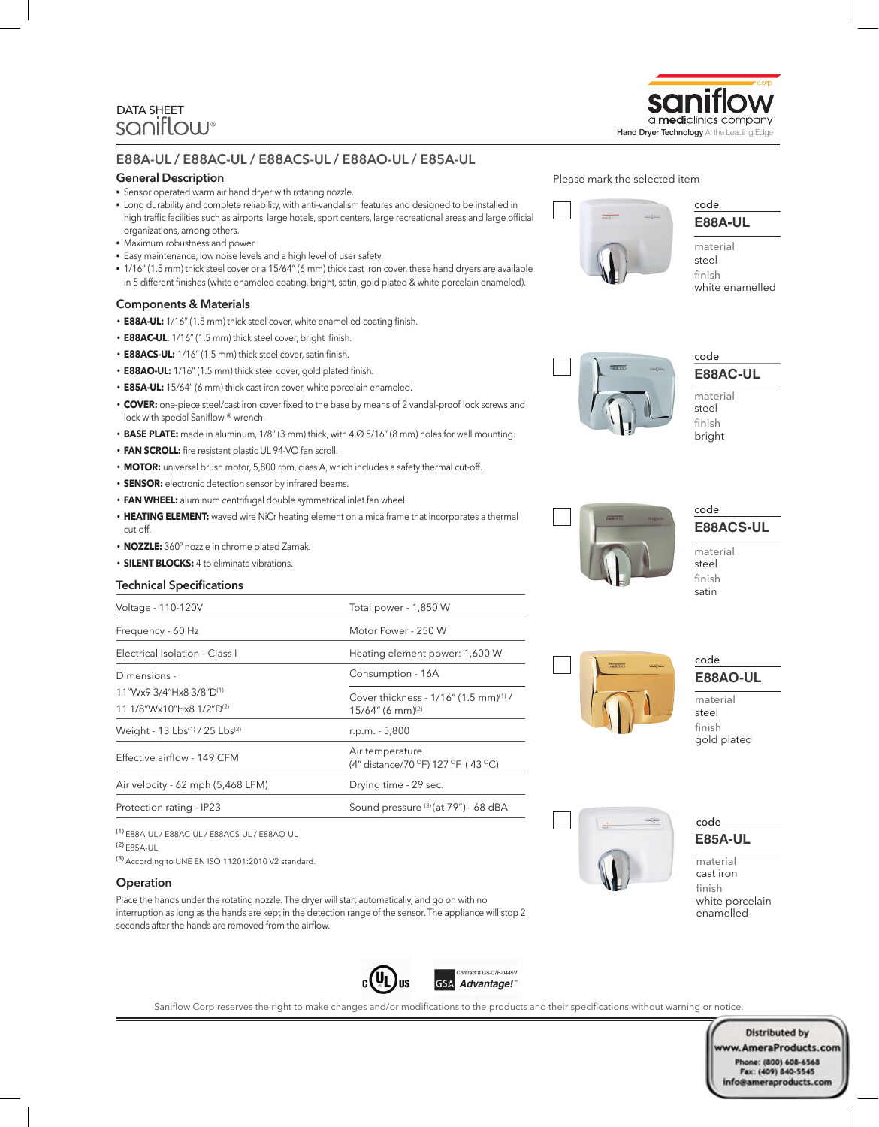# DATA SHEET<br>SQNIFLOW®

#### **E88A-UL / E88AC-UL / E88ACS-UL / E88AO-UL / E85A-UL**

#### **General Description**

- § Sensor operated warm air hand dryer with rotating nozzle.
- § Long durability and complete reliability, with anti-vandalism features and designed to be installed in high traffic facilities such as airports, large hotels, sport centers, large recreational areas and large official organizations, among others.
- § Maximum robustness and power.
- § Easy maintenance, low noise levels and a high level of user safety.
- § 1/16" (1.5 mm) thick steel cover or a 15/64" (6 mm) thick cast iron cover, these hand dryers are available in 5 different finishes (white enameled coating, bright, satin, gold plated & white porcelain enameled).

#### **Components & Materials**

- **E88A-UL:** 1/16" (1.5 mm) thick steel cover, white enamelled coating finish.
- **E88AC-UL**: 1/16" (1.5 mm) thick steel cover, bright finish.
- **E88ACS-UL:** 1/16" (1.5 mm) thick steel cover, satin finish.
- **E88AO-UL:** 1/16" (1.5 mm) thick steel cover, gold plated finish.
- **E85A-UL:** 15/64" (6 mm) thick cast iron cover, white porcelain enameled.
- **COVER:** one-piece steel/cast iron cover fixed to the base by means of 2 vandal-proof lock screws and lock with special Saniflow ® wrench.
- **BASE PLATE:** made in aluminum, 1/8" (3 mm) thick, with 4 Ø 5/16" (8 mm) holes for wall mounting.
- **FAN SCROLL:** fire resistant plastic UL 94-VO fan scroll.
- **MOTOR:** universal brush motor, 5,800 rpm, class A, which includes a safety thermal cut-off.
- **SENSOR:** electronic detection sensor by infrared beams.
- **FAN WHEEL:** aluminum centrifugal double symmetrical inlet fan wheel.
- **HEATING ELEMENT:** waved wire NiCr heating element on a mica frame that incorporates a thermal cut-off.
- **NOZZLE:** 360º nozzle in chrome plated Zamak.
- **SILENT BLOCKS:** 4 to eliminate vibrations.

#### **Technical Specifications**

| Voltage - 110-120V                  | Total power - 1,850 W                                                                |  |  |
|-------------------------------------|--------------------------------------------------------------------------------------|--|--|
| Frequency - 60 Hz                   | Motor Power - 250 W                                                                  |  |  |
| Electrical Isolation - Class I      | Heating element power: 1,600 W                                                       |  |  |
| Dimensions -                        | Consumption - 16A                                                                    |  |  |
| 11"Wx9 3/4"Hx8 3/8"D <sup>(1)</sup> | Cover thickness - 1/16" (1.5 mm) <sup>(1)</sup> /<br>$15/64''$ (6 mm) <sup>(2)</sup> |  |  |
| 11 1/8"Wx10"Hx8 1/2"D(2)            |                                                                                      |  |  |
| Weight - 13 Lbs(1) / 25 Lbs(2)      | r.p.m. - 5,800                                                                       |  |  |
| Effective airflow - 149 CFM         | Air temperature<br>(4" distance/70 °F) 127 °F (43 °C)                                |  |  |
| Air velocity - 62 mph (5,468 LFM)   | Drying time - 29 sec.                                                                |  |  |
| Protection rating - IP23            | Sound pressure (3) (at 79") - 68 dBA                                                 |  |  |

(1) E88A-UL / E88AC-UL / E88ACS-UL / E88AO-UL

(2) E85A-UL

(3) According to UNE EN ISO 11201:2010 V2 standard.

#### **Operation**

Place the hands under the rotating nozzle. The dryer will start automatically, and go on with no interruption as long as the hands are kept in the detection range of the sensor. The appliance will stop 2 seconds after the hands are removed from the airflow.



finish



### **E88AO-UL** code

**E88ACS-UL**

code

material steel

satin

material steel finish gold plated

## **E85A-UL** code

material cast iron finish white porcelain enamelled



## code Please mark the selected item

white enamelled

**E88AC-UL** code

material steel finish bright

> **Distributed by** ww.AmeraProducts.com Phone: (800) 608-6568<br>Fax: (409) 840-5545 info@ameraproducts.com

Saniflow Corp reserves the right to make changes and/or modifications to the products and their specifications without warning or notice.